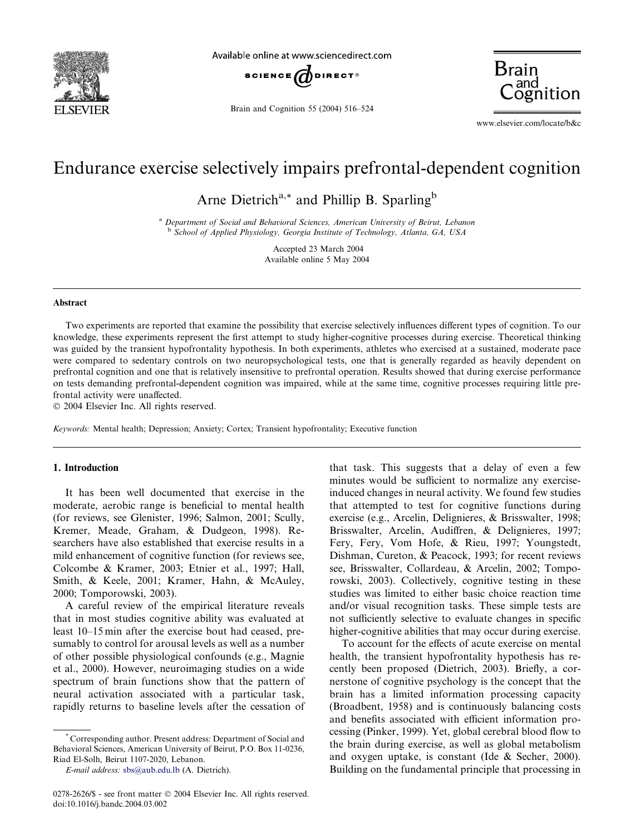

Available online at www.sciencedirect.com



Brain and Cognition 55 (2004) 516–524



www.elsevier.com/locate/b&c

# Endurance exercise selectively impairs prefrontal-dependent cognition

Arne Dietrich<sup>a,\*</sup> and Phillip B. Sparling<sup>b</sup>

<sup>a</sup> Department of Social and Behavioral Sciences, American University of Beirut, Lebanon <sup>b</sup> School of Applied Physiology, Georgia Institute of Technology, Atlanta, GA, USA

> Accepted 23 March 2004 Available online 5 May 2004

#### Abstract

Two experiments are reported that examine the possibility that exercise selectively influences different types of cognition. To our knowledge, these experiments represent the first attempt to study higher-cognitive processes during exercise. Theoretical thinking was guided by the transient hypofrontality hypothesis. In both experiments, athletes who exercised at a sustained, moderate pace were compared to sedentary controls on two neuropsychological tests, one that is generally regarded as heavily dependent on prefrontal cognition and one that is relatively insensitive to prefrontal operation. Results showed that during exercise performance on tests demanding prefrontal-dependent cognition was impaired, while at the same time, cognitive processes requiring little prefrontal activity were unaffected.

2004 Elsevier Inc. All rights reserved.

Keywords: Mental health; Depression; Anxiety; Cortex; Transient hypofrontality; Executive function

# 1. Introduction

It has been well documented that exercise in the moderate, aerobic range is beneficial to mental health (for reviews, see Glenister, 1996; Salmon, 2001; Scully, Kremer, Meade, Graham, & Dudgeon, 1998). Researchers have also established that exercise results in a mild enhancement of cognitive function (for reviews see, Colcombe & Kramer, 2003; Etnier et al., 1997; Hall, Smith, & Keele, 2001; Kramer, Hahn, & McAuley, 2000; Tomporowski, 2003).

A careful review of the empirical literature reveals that in most studies cognitive ability was evaluated at least 10–15 min after the exercise bout had ceased, presumably to control for arousal levels as well as a number of other possible physiological confounds (e.g., Magnie et al., 2000). However, neuroimaging studies on a wide spectrum of brain functions show that the pattern of neural activation associated with a particular task, rapidly returns to baseline levels after the cessation of

\* Corresponding author. Present address: Department of Social and Behavioral Sciences, American University of Beirut, P.O. Box 11-0236, Riad El-Solh, Beirut 1107-2020, Lebanon.

that task. This suggests that a delay of even a few minutes would be sufficient to normalize any exerciseinduced changes in neural activity. We found few studies that attempted to test for cognitive functions during exercise (e.g., Arcelin, Delignieres, & Brisswalter, 1998; Brisswalter, Arcelin, Audiffren, & Delignieres, 1997; Fery, Fery, Vom Hofe, & Rieu, 1997; Youngstedt, Dishman, Cureton, & Peacock, 1993; for recent reviews see, Brisswalter, Collardeau, & Arcelin, 2002; Tomporowski, 2003). Collectively, cognitive testing in these studies was limited to either basic choice reaction time and/or visual recognition tasks. These simple tests are not sufficiently selective to evaluate changes in specific higher-cognitive abilities that may occur during exercise.

To account for the effects of acute exercise on mental health, the transient hypofrontality hypothesis has recently been proposed (Dietrich, 2003). Briefly, a cornerstone of cognitive psychology is the concept that the brain has a limited information processing capacity (Broadbent, 1958) and is continuously balancing costs and benefits associated with efficient information processing (Pinker, 1999). Yet, global cerebral blood flow to the brain during exercise, as well as global metabolism and oxygen uptake, is constant (Ide & Secher, 2000). Building on the fundamental principle that processing in

E-mail address: [sbs@aub.edu.lb](mail to: sbs@aub.edu.lb) (A. Dietrich).

<sup>0278-2626/\$ -</sup> see front matter © 2004 Elsevier Inc. All rights reserved. doi:10.1016/j.bandc.2004.03.002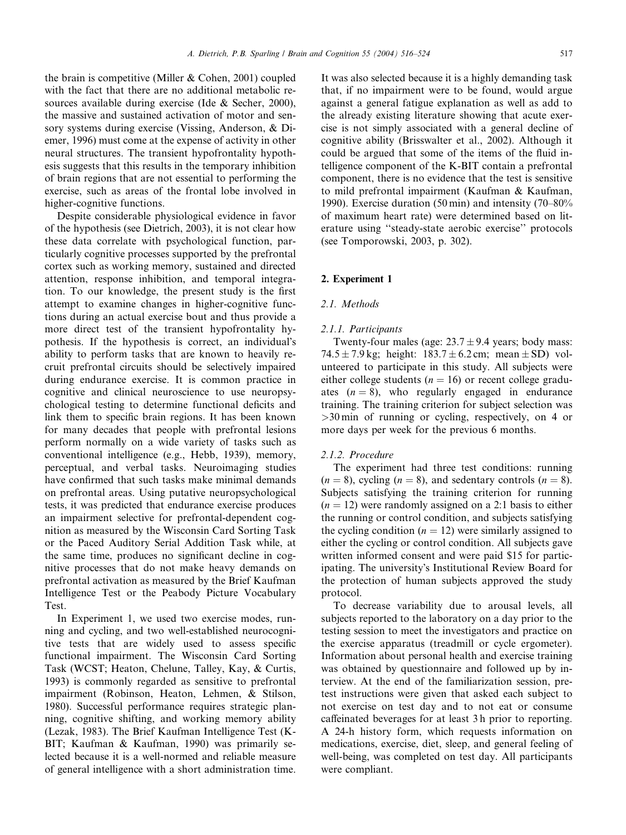the brain is competitive (Miller & Cohen, 2001) coupled with the fact that there are no additional metabolic resources available during exercise (Ide & Secher, 2000), the massive and sustained activation of motor and sensory systems during exercise (Vissing, Anderson, & Diemer, 1996) must come at the expense of activity in other neural structures. The transient hypofrontality hypothesis suggests that this results in the temporary inhibition of brain regions that are not essential to performing the exercise, such as areas of the frontal lobe involved in higher-cognitive functions.

Despite considerable physiological evidence in favor of the hypothesis (see Dietrich, 2003), it is not clear how these data correlate with psychological function, particularly cognitive processes supported by the prefrontal cortex such as working memory, sustained and directed attention, response inhibition, and temporal integration. To our knowledge, the present study is the first attempt to examine changes in higher-cognitive functions during an actual exercise bout and thus provide a more direct test of the transient hypofrontality hypothesis. If the hypothesis is correct, an individual's ability to perform tasks that are known to heavily recruit prefrontal circuits should be selectively impaired during endurance exercise. It is common practice in cognitive and clinical neuroscience to use neuropsychological testing to determine functional deficits and link them to specific brain regions. It has been known for many decades that people with prefrontal lesions perform normally on a wide variety of tasks such as conventional intelligence (e.g., Hebb, 1939), memory, perceptual, and verbal tasks. Neuroimaging studies have confirmed that such tasks make minimal demands on prefrontal areas. Using putative neuropsychological tests, it was predicted that endurance exercise produces an impairment selective for prefrontal-dependent cognition as measured by the Wisconsin Card Sorting Task or the Paced Auditory Serial Addition Task while, at the same time, produces no significant decline in cognitive processes that do not make heavy demands on prefrontal activation as measured by the Brief Kaufman Intelligence Test or the Peabody Picture Vocabulary Test.

In Experiment 1, we used two exercise modes, running and cycling, and two well-established neurocognitive tests that are widely used to assess specific functional impairment. The Wisconsin Card Sorting Task (WCST; Heaton, Chelune, Talley, Kay, & Curtis, 1993) is commonly regarded as sensitive to prefrontal impairment (Robinson, Heaton, Lehmen, & Stilson, 1980). Successful performance requires strategic planning, cognitive shifting, and working memory ability (Lezak, 1983). The Brief Kaufman Intelligence Test (K-BIT; Kaufman & Kaufman, 1990) was primarily selected because it is a well-normed and reliable measure of general intelligence with a short administration time.

It was also selected because it is a highly demanding task that, if no impairment were to be found, would argue against a general fatigue explanation as well as add to the already existing literature showing that acute exercise is not simply associated with a general decline of cognitive ability (Brisswalter et al., 2002). Although it could be argued that some of the items of the fluid intelligence component of the K-BIT contain a prefrontal component, there is no evidence that the test is sensitive to mild prefrontal impairment (Kaufman & Kaufman, 1990). Exercise duration (50 min) and intensity (70–80% of maximum heart rate) were determined based on literature using ''steady-state aerobic exercise'' protocols (see Tomporowski, 2003, p. 302).

## 2. Experiment 1

## 2.1. Methods

#### 2.1.1. Participants

Twenty-four males (age:  $23.7 \pm 9.4$  years; body mass:  $74.5 \pm 7.9$  kg; height:  $183.7 \pm 6.2$  cm; mean  $\pm$  SD) volunteered to participate in this study. All subjects were either college students ( $n = 16$ ) or recent college graduates  $(n = 8)$ , who regularly engaged in endurance training. The training criterion for subject selection was >30 min of running or cycling, respectively, on 4 or more days per week for the previous 6 months.

## 2.1.2. Procedure

The experiment had three test conditions: running  $(n = 8)$ , cycling  $(n = 8)$ , and sedentary controls  $(n = 8)$ . Subjects satisfying the training criterion for running  $(n = 12)$  were randomly assigned on a 2:1 basis to either the running or control condition, and subjects satisfying the cycling condition  $(n = 12)$  were similarly assigned to either the cycling or control condition. All subjects gave written informed consent and were paid \$15 for participating. The university's Institutional Review Board for the protection of human subjects approved the study protocol.

To decrease variability due to arousal levels, all subjects reported to the laboratory on a day prior to the testing session to meet the investigators and practice on the exercise apparatus (treadmill or cycle ergometer). Information about personal health and exercise training was obtained by questionnaire and followed up by interview. At the end of the familiarization session, pretest instructions were given that asked each subject to not exercise on test day and to not eat or consume caffeinated beverages for at least 3 h prior to reporting. A 24-h history form, which requests information on medications, exercise, diet, sleep, and general feeling of well-being, was completed on test day. All participants were compliant.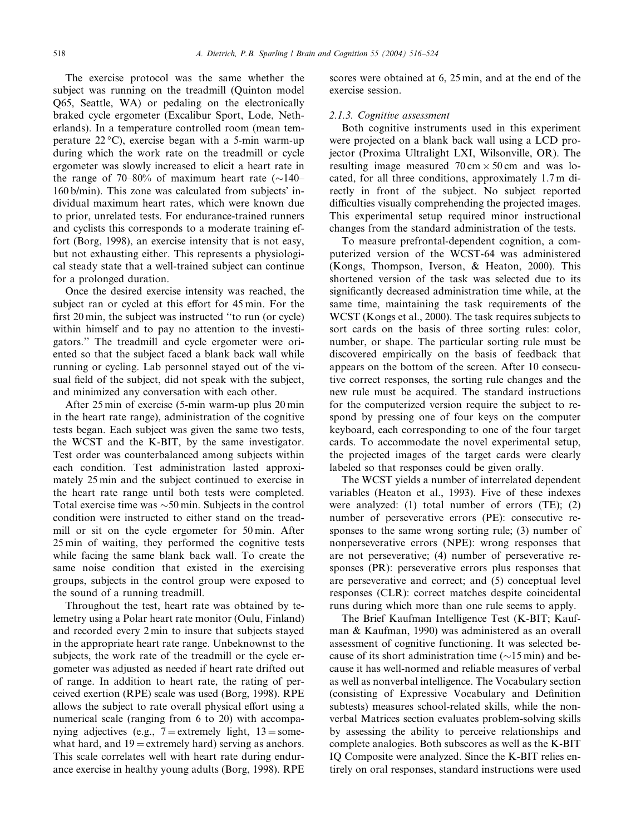The exercise protocol was the same whether the subject was running on the treadmill (Quinton model Q65, Seattle, WA) or pedaling on the electronically braked cycle ergometer (Excalibur Sport, Lode, Netherlands). In a temperature controlled room (mean temperature  $22^{\circ}$ C), exercise began with a 5-min warm-up during which the work rate on the treadmill or cycle ergometer was slowly increased to elicit a heart rate in the range of 70–80% of maximum heart rate  $(\sim]$ 140– 160 b/min). This zone was calculated from subjects' individual maximum heart rates, which were known due to prior, unrelated tests. For endurance-trained runners and cyclists this corresponds to a moderate training effort (Borg, 1998), an exercise intensity that is not easy, but not exhausting either. This represents a physiological steady state that a well-trained subject can continue for a prolonged duration.

Once the desired exercise intensity was reached, the subject ran or cycled at this effort for 45 min. For the first 20 min, the subject was instructed ''to run (or cycle) within himself and to pay no attention to the investigators.'' The treadmill and cycle ergometer were oriented so that the subject faced a blank back wall while running or cycling. Lab personnel stayed out of the visual field of the subject, did not speak with the subject, and minimized any conversation with each other.

After 25 min of exercise (5-min warm-up plus 20 min in the heart rate range), administration of the cognitive tests began. Each subject was given the same two tests, the WCST and the K-BIT, by the same investigator. Test order was counterbalanced among subjects within each condition. Test administration lasted approximately 25 min and the subject continued to exercise in the heart rate range until both tests were completed. Total exercise time was  $\sim$  50 min. Subjects in the control condition were instructed to either stand on the treadmill or sit on the cycle ergometer for 50 min. After 25 min of waiting, they performed the cognitive tests while facing the same blank back wall. To create the same noise condition that existed in the exercising groups, subjects in the control group were exposed to the sound of a running treadmill.

Throughout the test, heart rate was obtained by telemetry using a Polar heart rate monitor (Oulu, Finland) and recorded every 2 min to insure that subjects stayed in the appropriate heart rate range. Unbeknownst to the subjects, the work rate of the treadmill or the cycle ergometer was adjusted as needed if heart rate drifted out of range. In addition to heart rate, the rating of perceived exertion (RPE) scale was used (Borg, 1998). RPE allows the subject to rate overall physical effort using a numerical scale (ranging from 6 to 20) with accompanying adjectives (e.g.,  $7 =$  extremely light,  $13 =$  somewhat hard, and  $19 =$  extremely hard) serving as anchors. This scale correlates well with heart rate during endurance exercise in healthy young adults (Borg, 1998). RPE scores were obtained at 6, 25 min, and at the end of the exercise session.

#### 2.1.3. Cognitive assessment

Both cognitive instruments used in this experiment were projected on a blank back wall using a LCD projector (Proxima Ultralight LXI, Wilsonville, OR). The resulting image measured  $70 \text{ cm} \times 50 \text{ cm}$  and was located, for all three conditions, approximately 1.7 m directly in front of the subject. No subject reported difficulties visually comprehending the projected images. This experimental setup required minor instructional changes from the standard administration of the tests.

To measure prefrontal-dependent cognition, a computerized version of the WCST-64 was administered (Kongs, Thompson, Iverson, & Heaton, 2000). This shortened version of the task was selected due to its significantly decreased administration time while, at the same time, maintaining the task requirements of the WCST (Kongs et al., 2000). The task requires subjects to sort cards on the basis of three sorting rules: color, number, or shape. The particular sorting rule must be discovered empirically on the basis of feedback that appears on the bottom of the screen. After 10 consecutive correct responses, the sorting rule changes and the new rule must be acquired. The standard instructions for the computerized version require the subject to respond by pressing one of four keys on the computer keyboard, each corresponding to one of the four target cards. To accommodate the novel experimental setup, the projected images of the target cards were clearly labeled so that responses could be given orally.

The WCST yields a number of interrelated dependent variables (Heaton et al., 1993). Five of these indexes were analyzed: (1) total number of errors (TE); (2) number of perseverative errors (PE): consecutive responses to the same wrong sorting rule; (3) number of nonperseverative errors (NPE): wrong responses that are not perseverative; (4) number of perseverative responses (PR): perseverative errors plus responses that are perseverative and correct; and (5) conceptual level responses (CLR): correct matches despite coincidental runs during which more than one rule seems to apply.

The Brief Kaufman Intelligence Test (K-BIT; Kaufman & Kaufman, 1990) was administered as an overall assessment of cognitive functioning. It was selected because of its short administration time  $(\sim 15 \text{ min})$  and because it has well-normed and reliable measures of verbal as well as nonverbal intelligence. The Vocabulary section (consisting of Expressive Vocabulary and Definition subtests) measures school-related skills, while the nonverbal Matrices section evaluates problem-solving skills by assessing the ability to perceive relationships and complete analogies. Both subscores as well as the K-BIT IQ Composite were analyzed. Since the K-BIT relies entirely on oral responses, standard instructions were used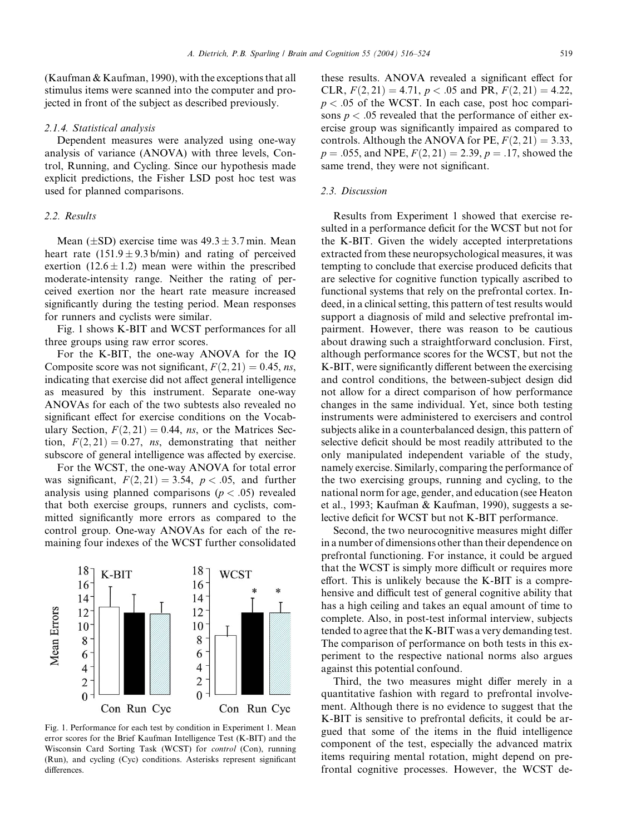## 2.1.4. Statistical analysis

Dependent measures were analyzed using one-way analysis of variance (ANOVA) with three levels, Control, Running, and Cycling. Since our hypothesis made explicit predictions, the Fisher LSD post hoc test was used for planned comparisons.

## 2.2. Results

Mean ( $\pm$ SD) exercise time was  $49.3 \pm 3.7$  min. Mean heart rate  $(151.9 \pm 9.3 \text{ b/min})$  and rating of perceived exertion  $(12.6 \pm 1.2)$  mean were within the prescribed moderate-intensity range. Neither the rating of perceived exertion nor the heart rate measure increased significantly during the testing period. Mean responses for runners and cyclists were similar.

Fig. 1 shows K-BIT and WCST performances for all three groups using raw error scores.

For the K-BIT, the one-way ANOVA for the IQ Composite score was not significant,  $F(2, 21) = 0.45$ , ns, indicating that exercise did not affect general intelligence as measured by this instrument. Separate one-way ANOVAs for each of the two subtests also revealed no significant effect for exercise conditions on the Vocabulary Section,  $F(2, 21) = 0.44$ , ns, or the Matrices Section,  $F(2, 21) = 0.27$ , ns, demonstrating that neither subscore of general intelligence was affected by exercise.

For the WCST, the one-way ANOVA for total error was significant,  $F(2, 21) = 3.54$ ,  $p < .05$ , and further analysis using planned comparisons ( $p < .05$ ) revealed that both exercise groups, runners and cyclists, committed significantly more errors as compared to the control group. One-way ANOVAs for each of the remaining four indexes of the WCST further consolidated



Fig. 1. Performance for each test by condition in Experiment 1. Mean error scores for the Brief Kaufman Intelligence Test (K-BIT) and the Wisconsin Card Sorting Task (WCST) for control (Con), running (Run), and cycling (Cyc) conditions. Asterisks represent significant differences.

these results. ANOVA revealed a significant effect for CLR,  $F(2, 21) = 4.71$ ,  $p < .05$  and PR,  $F(2, 21) = 4.22$ ,  $p < .05$  of the WCST. In each case, post hoc comparisons  $p < 0.05$  revealed that the performance of either exercise group was significantly impaired as compared to controls. Although the ANOVA for PE,  $F(2, 21) = 3.33$ ,  $p = .055$ , and NPE,  $F(2, 21) = 2.39$ ,  $p = .17$ , showed the same trend, they were not significant.

#### 2.3. Discussion

Results from Experiment 1 showed that exercise resulted in a performance deficit for the WCST but not for the K-BIT. Given the widely accepted interpretations extracted from these neuropsychological measures, it was tempting to conclude that exercise produced deficits that are selective for cognitive function typically ascribed to functional systems that rely on the prefrontal cortex. Indeed, in a clinical setting, this pattern of test results would support a diagnosis of mild and selective prefrontal impairment. However, there was reason to be cautious about drawing such a straightforward conclusion. First, although performance scores for the WCST, but not the K-BIT, were significantly different between the exercising and control conditions, the between-subject design did not allow for a direct comparison of how performance changes in the same individual. Yet, since both testing instruments were administered to exercisers and control subjects alike in a counterbalanced design, this pattern of selective deficit should be most readily attributed to the only manipulated independent variable of the study, namely exercise. Similarly, comparing the performance of the two exercising groups, running and cycling, to the national norm for age, gender, and education (see Heaton et al., 1993; Kaufman & Kaufman, 1990), suggests a selective deficit for WCST but not K-BIT performance.

Second, the two neurocognitive measures might differ in a number of dimensions other than their dependence on prefrontal functioning. For instance, it could be argued that the WCST is simply more difficult or requires more effort. This is unlikely because the K-BIT is a comprehensive and difficult test of general cognitive ability that has a high ceiling and takes an equal amount of time to complete. Also, in post-test informal interview, subjects tended to agree that the K-BIT was a very demanding test. The comparison of performance on both tests in this experiment to the respective national norms also argues against this potential confound.

Third, the two measures might differ merely in a quantitative fashion with regard to prefrontal involvement. Although there is no evidence to suggest that the K-BIT is sensitive to prefrontal deficits, it could be argued that some of the items in the fluid intelligence component of the test, especially the advanced matrix items requiring mental rotation, might depend on prefrontal cognitive processes. However, the WCST de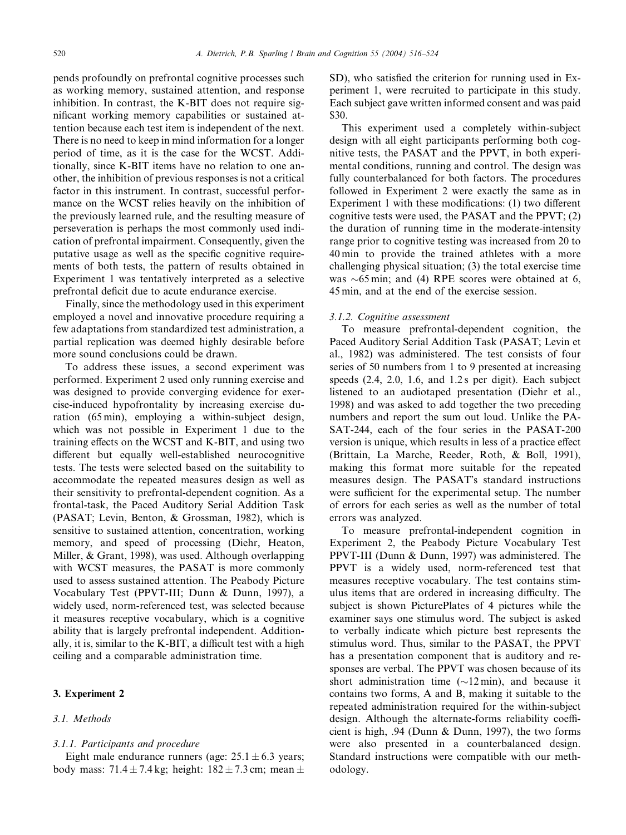pends profoundly on prefrontal cognitive processes such as working memory, sustained attention, and response inhibition. In contrast, the K-BIT does not require significant working memory capabilities or sustained attention because each test item is independent of the next. There is no need to keep in mind information for a longer period of time, as it is the case for the WCST. Additionally, since K-BIT items have no relation to one another, the inhibition of previous responses is not a critical factor in this instrument. In contrast, successful performance on the WCST relies heavily on the inhibition of the previously learned rule, and the resulting measure of perseveration is perhaps the most commonly used indication of prefrontal impairment. Consequently, given the putative usage as well as the specific cognitive requirements of both tests, the pattern of results obtained in Experiment 1 was tentatively interpreted as a selective prefrontal deficit due to acute endurance exercise.

Finally, since the methodology used in this experiment employed a novel and innovative procedure requiring a few adaptations from standardized test administration, a partial replication was deemed highly desirable before more sound conclusions could be drawn.

To address these issues, a second experiment was performed. Experiment 2 used only running exercise and was designed to provide converging evidence for exercise-induced hypofrontality by increasing exercise duration (65 min), employing a within-subject design, which was not possible in Experiment 1 due to the training effects on the WCST and K-BIT, and using two different but equally well-established neurocognitive tests. The tests were selected based on the suitability to accommodate the repeated measures design as well as their sensitivity to prefrontal-dependent cognition. As a frontal-task, the Paced Auditory Serial Addition Task (PASAT; Levin, Benton, & Grossman, 1982), which is sensitive to sustained attention, concentration, working memory, and speed of processing (Diehr, Heaton, Miller, & Grant, 1998), was used. Although overlapping with WCST measures, the PASAT is more commonly used to assess sustained attention. The Peabody Picture Vocabulary Test (PPVT-III; Dunn & Dunn, 1997), a widely used, norm-referenced test, was selected because it measures receptive vocabulary, which is a cognitive ability that is largely prefrontal independent. Additionally, it is, similar to the K-BIT, a difficult test with a high ceiling and a comparable administration time.

## 3. Experiment 2

## 3.1. Methods

## 3.1.1. Participants and procedure

Eight male endurance runners (age:  $25.1 \pm 6.3$  years; body mass:  $71.4 \pm 7.4$  kg; height:  $182 \pm 7.3$  cm; mean  $\pm$  SD), who satisfied the criterion for running used in Experiment 1, were recruited to participate in this study. Each subject gave written informed consent and was paid \$30.

This experiment used a completely within-subject design with all eight participants performing both cognitive tests, the PASAT and the PPVT, in both experimental conditions, running and control. The design was fully counterbalanced for both factors. The procedures followed in Experiment 2 were exactly the same as in Experiment 1 with these modifications: (1) two different cognitive tests were used, the PASAT and the PPVT; (2) the duration of running time in the moderate-intensity range prior to cognitive testing was increased from 20 to 40 min to provide the trained athletes with a more challenging physical situation; (3) the total exercise time was  $\sim 65$  min; and (4) RPE scores were obtained at 6, 45 min, and at the end of the exercise session.

#### 3.1.2. Cognitive assessment

To measure prefrontal-dependent cognition, the Paced Auditory Serial Addition Task (PASAT; Levin et al., 1982) was administered. The test consists of four series of 50 numbers from 1 to 9 presented at increasing speeds (2.4, 2.0, 1.6, and 1.2 s per digit). Each subject listened to an audiotaped presentation (Diehr et al., 1998) and was asked to add together the two preceding numbers and report the sum out loud. Unlike the PA-SAT-244, each of the four series in the PASAT-200 version is unique, which results in less of a practice effect (Brittain, La Marche, Reeder, Roth, & Boll, 1991), making this format more suitable for the repeated measures design. The PASAT's standard instructions were sufficient for the experimental setup. The number of errors for each series as well as the number of total errors was analyzed.

To measure prefrontal-independent cognition in Experiment 2, the Peabody Picture Vocabulary Test PPVT-III (Dunn & Dunn, 1997) was administered. The PPVT is a widely used, norm-referenced test that measures receptive vocabulary. The test contains stimulus items that are ordered in increasing difficulty. The subject is shown PicturePlates of 4 pictures while the examiner says one stimulus word. The subject is asked to verbally indicate which picture best represents the stimulus word. Thus, similar to the PASAT, the PPVT has a presentation component that is auditory and responses are verbal. The PPVT was chosen because of its short administration time  $(\sim 12 \text{ min})$ , and because it contains two forms, A and B, making it suitable to the repeated administration required for the within-subject design. Although the alternate-forms reliability coefficient is high, .94 (Dunn & Dunn, 1997), the two forms were also presented in a counterbalanced design. Standard instructions were compatible with our methodology.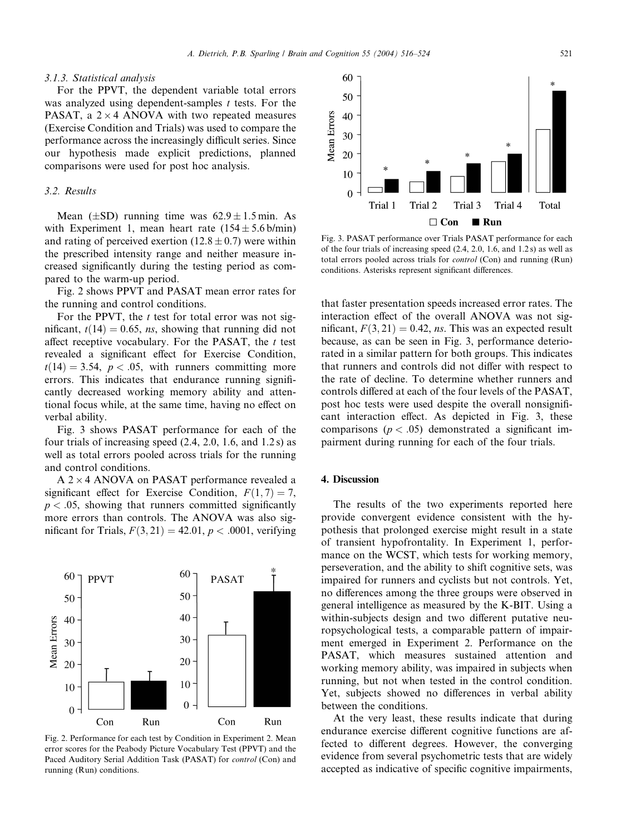#### 3.1.3. Statistical analysis

For the PPVT, the dependent variable total errors was analyzed using dependent-samples  $t$  tests. For the PASAT, a  $2 \times 4$  ANOVA with two repeated measures (Exercise Condition and Trials) was used to compare the performance across the increasingly difficult series. Since our hypothesis made explicit predictions, planned comparisons were used for post hoc analysis.

## 3.2. Results

Mean ( $\pm$ SD) running time was  $62.9 \pm 1.5$  min. As with Experiment 1, mean heart rate  $(154 \pm 5.6 \text{ b/min})$ and rating of perceived exertion  $(12.8 \pm 0.7)$  were within the prescribed intensity range and neither measure increased significantly during the testing period as compared to the warm-up period.

Fig. 2 shows PPVT and PASAT mean error rates for the running and control conditions.

For the PPVT, the  $t$  test for total error was not significant,  $t(14) = 0.65$ , ns, showing that running did not affect receptive vocabulary. For the PASAT, the  $t$  test revealed a significant effect for Exercise Condition,  $t(14) = 3.54$ ,  $p < .05$ , with runners committing more errors. This indicates that endurance running significantly decreased working memory ability and attentional focus while, at the same time, having no effect on verbal ability.

Fig. 3 shows PASAT performance for each of the four trials of increasing speed  $(2.4, 2.0, 1.6,$  and  $1.2$  s) as well as total errors pooled across trials for the running and control conditions.

 $A$  2  $\times$  4 ANOVA on PASAT performance revealed a significant effect for Exercise Condition,  $F(1, 7) = 7$ ,  $p < .05$ , showing that runners committed significantly more errors than controls. The ANOVA was also significant for Trials,  $F(3, 21) = 42.01$ ,  $p < .0001$ , verifying



Fig. 2. Performance for each test by Condition in Experiment 2. Mean error scores for the Peabody Picture Vocabulary Test (PPVT) and the Paced Auditory Serial Addition Task (PASAT) for control (Con) and running (Run) conditions.



Fig. 3. PASAT performance over Trials PASAT performance for each of the four trials of increasing speed (2.4, 2.0, 1.6, and 1.2 s) as well as total errors pooled across trials for control (Con) and running (Run) conditions. Asterisks represent significant differences.

that faster presentation speeds increased error rates. The interaction effect of the overall ANOVA was not significant,  $F(3, 21) = 0.42$ , ns. This was an expected result because, as can be seen in Fig. 3, performance deteriorated in a similar pattern for both groups. This indicates that runners and controls did not differ with respect to the rate of decline. To determine whether runners and controls differed at each of the four levels of the PASAT, post hoc tests were used despite the overall nonsignificant interaction effect. As depicted in Fig. 3, these comparisons ( $p < .05$ ) demonstrated a significant impairment during running for each of the four trials.

## 4. Discussion

The results of the two experiments reported here provide convergent evidence consistent with the hypothesis that prolonged exercise might result in a state of transient hypofrontality. In Experiment 1, performance on the WCST, which tests for working memory, perseveration, and the ability to shift cognitive sets, was impaired for runners and cyclists but not controls. Yet, no differences among the three groups were observed in general intelligence as measured by the K-BIT. Using a within-subjects design and two different putative neuropsychological tests, a comparable pattern of impairment emerged in Experiment 2. Performance on the PASAT, which measures sustained attention and working memory ability, was impaired in subjects when running, but not when tested in the control condition. Yet, subjects showed no differences in verbal ability between the conditions.

At the very least, these results indicate that during endurance exercise different cognitive functions are affected to different degrees. However, the converging evidence from several psychometric tests that are widely accepted as indicative of specific cognitive impairments,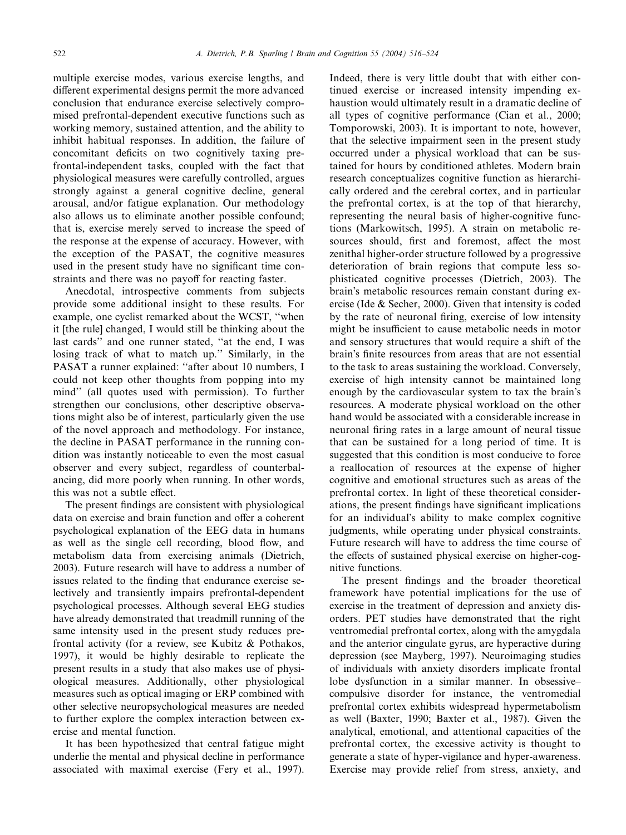multiple exercise modes, various exercise lengths, and different experimental designs permit the more advanced conclusion that endurance exercise selectively compromised prefrontal-dependent executive functions such as working memory, sustained attention, and the ability to inhibit habitual responses. In addition, the failure of concomitant deficits on two cognitively taxing prefrontal-independent tasks, coupled with the fact that physiological measures were carefully controlled, argues strongly against a general cognitive decline, general arousal, and/or fatigue explanation. Our methodology also allows us to eliminate another possible confound; that is, exercise merely served to increase the speed of the response at the expense of accuracy. However, with the exception of the PASAT, the cognitive measures used in the present study have no significant time constraints and there was no payoff for reacting faster.

Anecdotal, introspective comments from subjects provide some additional insight to these results. For example, one cyclist remarked about the WCST, ''when it [the rule] changed, I would still be thinking about the last cards'' and one runner stated, ''at the end, I was losing track of what to match up.'' Similarly, in the PASAT a runner explained: ''after about 10 numbers, I could not keep other thoughts from popping into my mind'' (all quotes used with permission). To further strengthen our conclusions, other descriptive observations might also be of interest, particularly given the use of the novel approach and methodology. For instance, the decline in PASAT performance in the running condition was instantly noticeable to even the most casual observer and every subject, regardless of counterbalancing, did more poorly when running. In other words, this was not a subtle effect.

The present findings are consistent with physiological data on exercise and brain function and offer a coherent psychological explanation of the EEG data in humans as well as the single cell recording, blood flow, and metabolism data from exercising animals (Dietrich, 2003). Future research will have to address a number of issues related to the finding that endurance exercise selectively and transiently impairs prefrontal-dependent psychological processes. Although several EEG studies have already demonstrated that treadmill running of the same intensity used in the present study reduces prefrontal activity (for a review, see Kubitz & Pothakos, 1997), it would be highly desirable to replicate the present results in a study that also makes use of physiological measures. Additionally, other physiological measures such as optical imaging or ERP combined with other selective neuropsychological measures are needed to further explore the complex interaction between exercise and mental function.

It has been hypothesized that central fatigue might underlie the mental and physical decline in performance associated with maximal exercise (Fery et al., 1997).

Indeed, there is very little doubt that with either continued exercise or increased intensity impending exhaustion would ultimately result in a dramatic decline of all types of cognitive performance (Cian et al., 2000; Tomporowski, 2003). It is important to note, however, that the selective impairment seen in the present study occurred under a physical workload that can be sustained for hours by conditioned athletes. Modern brain research conceptualizes cognitive function as hierarchically ordered and the cerebral cortex, and in particular the prefrontal cortex, is at the top of that hierarchy, representing the neural basis of higher-cognitive functions (Markowitsch, 1995). A strain on metabolic resources should, first and foremost, affect the most zenithal higher-order structure followed by a progressive deterioration of brain regions that compute less sophisticated cognitive processes (Dietrich, 2003). The brain's metabolic resources remain constant during exercise (Ide & Secher, 2000). Given that intensity is coded by the rate of neuronal firing, exercise of low intensity might be insufficient to cause metabolic needs in motor and sensory structures that would require a shift of the brain's finite resources from areas that are not essential to the task to areas sustaining the workload. Conversely, exercise of high intensity cannot be maintained long enough by the cardiovascular system to tax the brain's resources. A moderate physical workload on the other hand would be associated with a considerable increase in neuronal firing rates in a large amount of neural tissue that can be sustained for a long period of time. It is suggested that this condition is most conducive to force a reallocation of resources at the expense of higher cognitive and emotional structures such as areas of the prefrontal cortex. In light of these theoretical considerations, the present findings have significant implications for an individual's ability to make complex cognitive judgments, while operating under physical constraints. Future research will have to address the time course of the effects of sustained physical exercise on higher-cognitive functions.

The present findings and the broader theoretical framework have potential implications for the use of exercise in the treatment of depression and anxiety disorders. PET studies have demonstrated that the right ventromedial prefrontal cortex, along with the amygdala and the anterior cingulate gyrus, are hyperactive during depression (see Mayberg, 1997). Neuroimaging studies of individuals with anxiety disorders implicate frontal lobe dysfunction in a similar manner. In obsessive– compulsive disorder for instance, the ventromedial prefrontal cortex exhibits widespread hypermetabolism as well (Baxter, 1990; Baxter et al., 1987). Given the analytical, emotional, and attentional capacities of the prefrontal cortex, the excessive activity is thought to generate a state of hyper-vigilance and hyper-awareness. Exercise may provide relief from stress, anxiety, and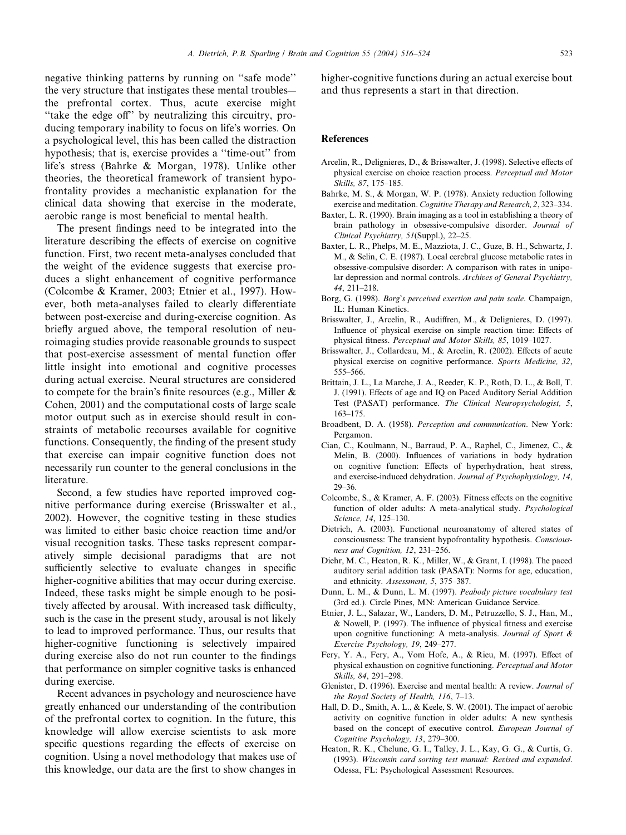negative thinking patterns by running on ''safe mode'' the very structure that instigates these mental troubles the prefrontal cortex. Thus, acute exercise might ''take the edge off'' by neutralizing this circuitry, producing temporary inability to focus on life's worries. On a psychological level, this has been called the distraction hypothesis; that is, exercise provides a ''time-out'' from life's stress (Bahrke & Morgan, 1978). Unlike other theories, the theoretical framework of transient hypofrontality provides a mechanistic explanation for the clinical data showing that exercise in the moderate, aerobic range is most beneficial to mental health.

The present findings need to be integrated into the literature describing the effects of exercise on cognitive function. First, two recent meta-analyses concluded that the weight of the evidence suggests that exercise produces a slight enhancement of cognitive performance (Colcombe & Kramer, 2003; Etnier et al., 1997). However, both meta-analyses failed to clearly differentiate between post-exercise and during-exercise cognition. As briefly argued above, the temporal resolution of neuroimaging studies provide reasonable grounds to suspect that post-exercise assessment of mental function offer little insight into emotional and cognitive processes during actual exercise. Neural structures are considered to compete for the brain's finite resources (e.g., Miller  $\&$ Cohen, 2001) and the computational costs of large scale motor output such as in exercise should result in constraints of metabolic recourses available for cognitive functions. Consequently, the finding of the present study that exercise can impair cognitive function does not necessarily run counter to the general conclusions in the literature.

Second, a few studies have reported improved cognitive performance during exercise (Brisswalter et al., 2002). However, the cognitive testing in these studies was limited to either basic choice reaction time and/or visual recognition tasks. These tasks represent comparatively simple decisional paradigms that are not sufficiently selective to evaluate changes in specific higher-cognitive abilities that may occur during exercise. Indeed, these tasks might be simple enough to be positively affected by arousal. With increased task difficulty, such is the case in the present study, arousal is not likely to lead to improved performance. Thus, our results that higher-cognitive functioning is selectively impaired during exercise also do not run counter to the findings that performance on simpler cognitive tasks is enhanced during exercise.

Recent advances in psychology and neuroscience have greatly enhanced our understanding of the contribution of the prefrontal cortex to cognition. In the future, this knowledge will allow exercise scientists to ask more specific questions regarding the effects of exercise on cognition. Using a novel methodology that makes use of this knowledge, our data are the first to show changes in

higher-cognitive functions during an actual exercise bout and thus represents a start in that direction.

#### References

- Arcelin, R., Delignieres, D., & Brisswalter, J. (1998). Selective effects of physical exercise on choice reaction process. Perceptual and Motor Skills, 87, 175–185.
- Bahrke, M. S., & Morgan, W. P. (1978). Anxiety reduction following exercise and meditation. Cognitive Therapy and Research, 2, 323–334.
- Baxter, L. R. (1990). Brain imaging as a tool in establishing a theory of brain pathology in obsessive-compulsive disorder. Journal of Clinical Psychiatry, 51(Suppl.), 22–25.
- Baxter, L. R., Phelps, M. E., Mazziota, J. C., Guze, B. H., Schwartz, J. M., & Selin, C. E. (1987). Local cerebral glucose metabolic rates in obsessive-compulsive disorder: A comparison with rates in unipolar depression and normal controls. Archives of General Psychiatry, 44, 211–218.
- Borg, G. (1998). Borg's perceived exertion and pain scale. Champaign, IL: Human Kinetics.
- Brisswalter, J., Arcelin, R., Audiffren, M., & Delignieres, D. (1997). Influence of physical exercise on simple reaction time: Effects of physical fitness. Perceptual and Motor Skills, 85, 1019–1027.
- Brisswalter, J., Collardeau, M., & Arcelin, R. (2002). Effects of acute physical exercise on cognitive performance. Sports Medicine, 32, 555–566.
- Brittain, J. L., La Marche, J. A., Reeder, K. P., Roth, D. L., & Boll, T. J. (1991). Effects of age and IQ on Paced Auditory Serial Addition Test (PASAT) performance. The Clinical Neuropsychologist, 5, 163–175.
- Broadbent, D. A. (1958). Perception and communication. New York: Pergamon.
- Cian, C., Koulmann, N., Barraud, P. A., Raphel, C., Jimenez, C., & Melin, B. (2000). Influences of variations in body hydration on cognitive function: Effects of hyperhydration, heat stress, and exercise-induced dehydration. Journal of Psychophysiology, 14, 29–36.
- Colcombe, S., & Kramer, A. F. (2003). Fitness effects on the cognitive function of older adults: A meta-analytical study. Psychological Science, 14, 125–130.
- Dietrich, A. (2003). Functional neuroanatomy of altered states of consciousness: The transient hypofrontality hypothesis. Consciousness and Cognition, 12, 231–256.
- Diehr, M. C., Heaton, R. K., Miller, W., & Grant, I. (1998). The paced auditory serial addition task (PASAT): Norms for age, education, and ethnicity. Assessment, 5, 375–387.
- Dunn, L. M., & Dunn, L. M. (1997). Peabody picture vocabulary test (3rd ed.). Circle Pines, MN: American Guidance Service.
- Etnier, J. L., Salazar, W., Landers, D. M., Petruzzello, S. J., Han, M., & Nowell, P. (1997). The influence of physical fitness and exercise upon cognitive functioning: A meta-analysis. Journal of Sport & Exercise Psychology, 19, 249–277.
- Fery, Y. A., Fery, A., Vom Hofe, A., & Rieu, M. (1997). Effect of physical exhaustion on cognitive functioning. Perceptual and Motor Skills, 84, 291–298.
- Glenister, D. (1996). Exercise and mental health: A review. Journal of the Royal Society of Health, 116, 7–13.
- Hall, D. D., Smith, A. L., & Keele, S. W. (2001). The impact of aerobic activity on cognitive function in older adults: A new synthesis based on the concept of executive control. European Journal of Cognitive Psychology, 13, 279–300.
- Heaton, R. K., Chelune, G. I., Talley, J. L., Kay, G. G., & Curtis, G. (1993). Wisconsin card sorting test manual: Revised and expanded. Odessa, FL: Psychological Assessment Resources.